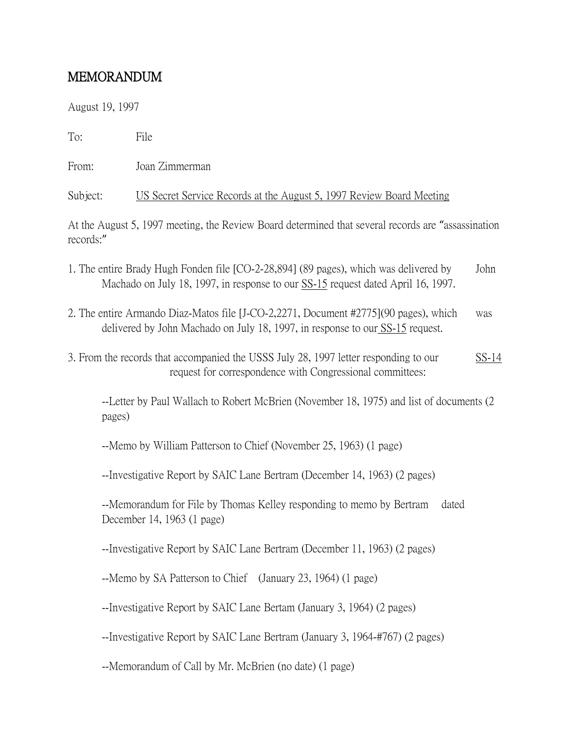## MEMORANDUM

August 19, 1997

To: File

From: Joan Zimmerman

Subject: US Secret Service Records at the August 5, 1997 Review Board Meeting

At the August 5, 1997 meeting, the Review Board determined that several records are "assassination records:"

- 1. The entire Brady Hugh Fonden file [CO-2-28,894] (89 pages), which was delivered by John Machado on July 18, 1997, in response to our  $SS-15$  request dated April 16, 1997.
- 2. The entire Armando Diaz-Matos file [J-CO-2,2271, Document #2775](90 pages), which was delivered by John Machado on July 18, 1997, in response to our SS-15 request.
- 3. From the records that accompanied the USSS July 28, 1997 letter responding to our SS-14 request for correspondence with Congressional committees:

--Letter by Paul Wallach to Robert McBrien (November 18, 1975) and list of documents (2 pages)

--Memo by William Patterson to Chief (November 25, 1963) (1 page)

--Investigative Report by SAIC Lane Bertram (December 14, 1963) (2 pages)

--Memorandum for File by Thomas Kelley responding to memo by Bertram dated December 14, 1963 (1 page)

--Investigative Report by SAIC Lane Bertram (December 11, 1963) (2 pages)

--Memo by SA Patterson to Chief (January 23, 1964) (1 page)

--Investigative Report by SAIC Lane Bertam (January 3, 1964) (2 pages)

--Investigative Report by SAIC Lane Bertram (January 3, 1964-#767) (2 pages)

--Memorandum of Call by Mr. McBrien (no date) (1 page)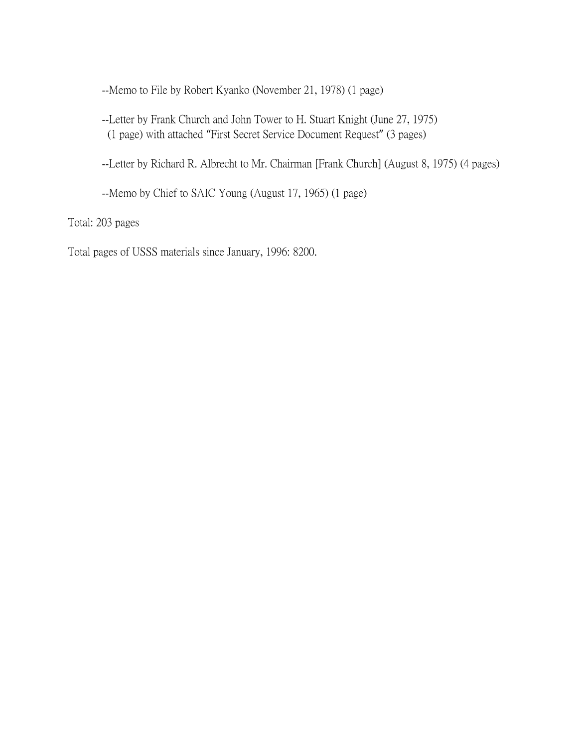--Memo to File by Robert Kyanko (November 21, 1978) (1 page)

--Letter by Frank Church and John Tower to H. Stuart Knight (June 27, 1975) (1 page) with attached "First Secret Service Document Request" (3 pages)

--Letter by Richard R. Albrecht to Mr. Chairman [Frank Church] (August 8, 1975) (4 pages)

--Memo by Chief to SAIC Young (August 17, 1965) (1 page)

Total: 203 pages

Total pages of USSS materials since January, 1996: 8200.